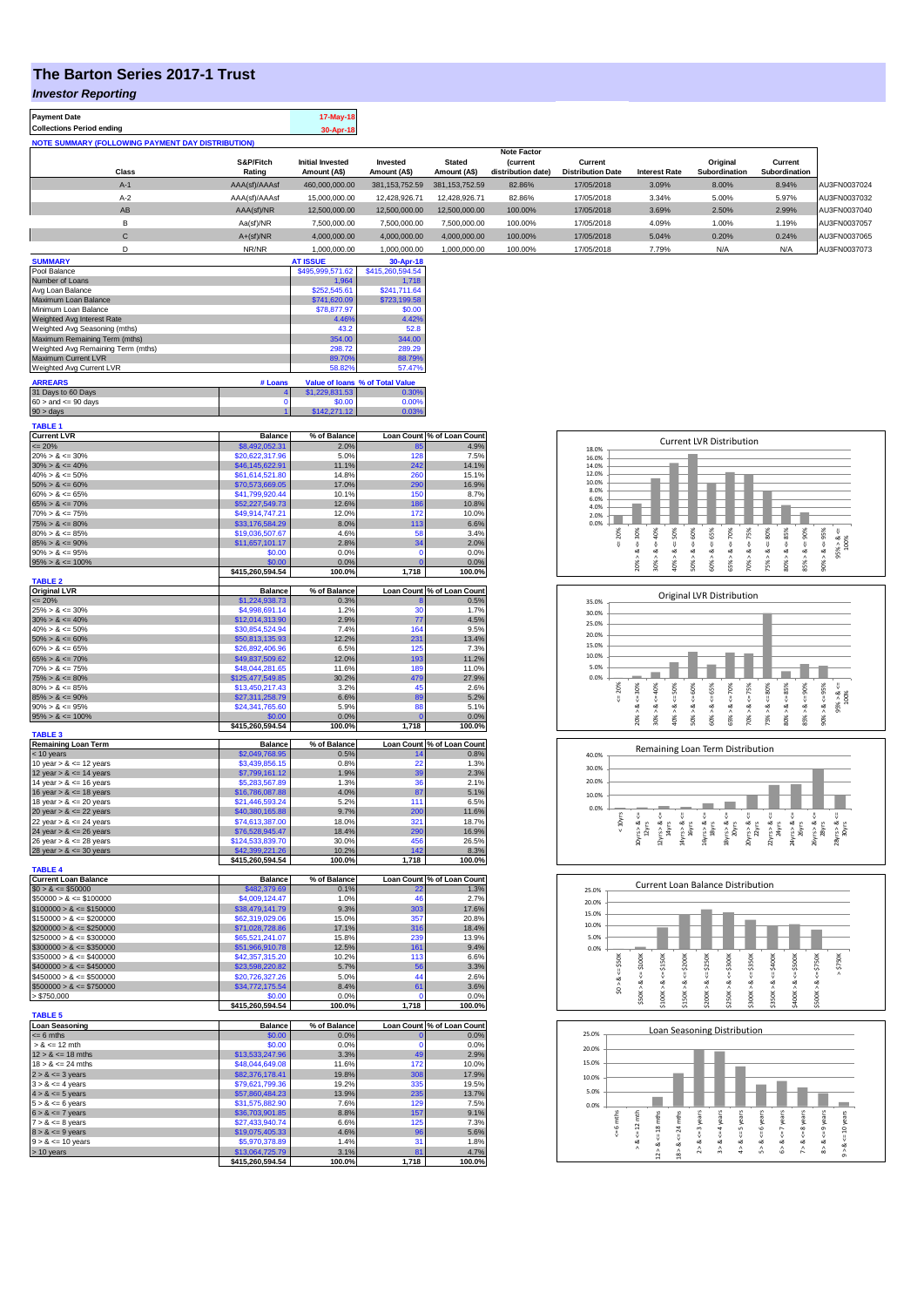## **The Barton Series 2017-1 Trust**

**Payment Date 17-May-18** 

*Investor Reporting*

| <b>Collections Period ending</b> |                                                          |                     | 30-Apr-18                               |                          |                               |                                                             |                                     |                      |                           |                          |              |
|----------------------------------|----------------------------------------------------------|---------------------|-----------------------------------------|--------------------------|-------------------------------|-------------------------------------------------------------|-------------------------------------|----------------------|---------------------------|--------------------------|--------------|
|                                  | <b>NOTE SUMMARY (FOLLOWING PAYMENT DAY DISTRIBUTION)</b> |                     |                                         |                          |                               |                                                             |                                     |                      |                           |                          |              |
|                                  | Class                                                    | S&P/Fitch<br>Rating | <b>Initial Invested</b><br>Amount (A\$) | Invested<br>Amount (A\$) | <b>Stated</b><br>Amount (A\$) | <b>Note Factor</b><br><i>(current</i><br>distribution date) | Current<br><b>Distribution Date</b> | <b>Interest Rate</b> | Original<br>Subordination | Current<br>Subordination |              |
|                                  | $A-1$                                                    | AAA(sf)/AAAsf       | 460.000.000.00                          | 381.153.752.59           | 381.153.752.59                | 82.86%                                                      | 17/05/2018                          | 3.09%                | 8.00%                     | 8.94%                    | AU3FN0037024 |
|                                  | $A-2$                                                    | AAA(sf)/AAAsf       | 15,000,000.00                           | 12.428.926.71            | 12.428.926.71                 | 82.86%                                                      | 17/05/2018                          | 3.34%                | 5.00%                     | 5.97%                    | AU3FN0037032 |
|                                  | AB                                                       | AAA(sf)/NR          | 12,500,000.00                           | 12.500.000.00            | 12,500,000,00                 | 100.00%                                                     | 17/05/2018                          | 3.69%                | 2.50%                     | 2.99%                    | AU3FN0037040 |
|                                  | в                                                        | Aa(sf)/NR           | 7,500,000.00                            | 7,500,000.00             | 7,500,000.00                  | 100.00%                                                     | 17/05/2018                          | 4.09%                | 1.00%                     | 1.19%                    | AU3FN0037057 |
|                                  | $\sim$<br>U                                              | $A+(sf)/NR$         | 4,000,000.00                            | 4,000,000.00             | 4.000.000.00                  | 100.00%                                                     | 17/05/2018                          | 5.04%                | 0.20%                     | 0.24%                    | AU3FN0037065 |
|                                  |                                                          | NR/NR               | 1,000,000.00                            | 1,000,000.00             | 1.000.000.00                  | 100.00%                                                     | 17/05/2018                          | 7.79%                | N/A                       | N/A                      | AU3FN0037073 |
| ------------                     |                                                          |                     |                                         |                          |                               |                                                             |                                     |                      |                           |                          |              |

| <b>SUMMARY</b>                     |         | <b>AT ISSUE</b>  | 30-Apr-18                       |
|------------------------------------|---------|------------------|---------------------------------|
| Pool Balance                       |         | \$495,999,571.62 | \$415,260,594.54                |
| Number of Loans                    |         | 1.964            | 1.718                           |
| Avg Loan Balance                   |         | \$252,545.61     | \$241,711.64                    |
| Maximum Loan Balance               |         | \$741,620.09     | \$723,199.58                    |
| Minimum Loan Balance               |         | \$78,877.97      | \$0.00                          |
| Weighted Avg Interest Rate         |         | 4.46%            | 4.42%                           |
| Weighted Avg Seasoning (mths)      |         | 43.2             | 52.8                            |
| Maximum Remaining Term (mths)      |         | 354.00           | 344.00                          |
| Weighted Avg Remaining Term (mths) |         | 298.72           | 289.29                          |
| <b>Maximum Current LVR</b>         |         | 89.70%           | 88.79%                          |
| Weighted Avg Current LVR           |         | 58.82%           | 57.47%                          |
| <b>ARREARS</b>                     | # Loans |                  | Value of loans % of Total Value |
| 31 Days to 60 Days                 |         | \$1,229,831.53   | 0.30%                           |
| $60 >$ and $\leq 90$ days          |         | \$0.00           | 0.00%                           |
| $90 >$ days                        |         | \$142,271.12     | 0.03%                           |

| <b>TABLE 1</b>                                             |                                     |                      |                |                                              |
|------------------------------------------------------------|-------------------------------------|----------------------|----------------|----------------------------------------------|
| <b>Current LVR</b>                                         | <b>Balance</b>                      | % of Balance         |                | Loan Count % of Loan Count                   |
| $= 20%$                                                    | \$8,492,052.31                      | 2.0%                 |                | 4.9%<br>7.5%                                 |
| $20\% > 8 \le 30\%$<br>$30\% > 8 \le 40\%$                 | \$20,622,317.96<br>\$46,145,622.91  | 5.0%<br>11.1%        | 128<br>242     | 14.1%                                        |
| $40\% > 8 \le 50\%$                                        | \$61,614,521.80                     | 14.8%                | 260            | 15.1%                                        |
| $50\% > 8 \le 60\%$                                        | \$70,573,669.05                     | 17.0%                | 290            | 16.9%                                        |
| $60\% > 8 \le 65\%$                                        | \$41,799,920.44                     | 10.1%                | 150            | 8.7%                                         |
| $65\% > 8 \le 70\%$                                        | \$52,227,549.73                     | 12.6%                | 186            | 10.8%                                        |
| $70\% > 8 \le 75\%$                                        | \$49,914,747.21                     | 12.0%                | 172            | 10.0%                                        |
| $75\% > 8 \le 80\%$                                        | \$33,176,584.29                     | 8.0%                 | 113            | 6.6%                                         |
| $80\% > 8 \le 85\%$                                        | \$19,036,507.67                     | 4.6%                 | 58             | 3.4%                                         |
| $85\% > 8 \le 90\%$                                        | \$11,657,101.17                     | 2.8%                 | 34             | 2.0%                                         |
| $90\% > 8 \le 95\%$                                        | \$0.00                              | 0.0%                 | n              | 0.0%                                         |
| $95\% > 8 \le 100\%$                                       | \$0.00                              | 0.0%                 | $\overline{0}$ | 0.0%                                         |
|                                                            | \$415,260,594.54                    | 100.0%               | 1,718          | 100.0%                                       |
| <b>TABLE 2</b><br><b>Original LVR</b>                      | <b>Balance</b>                      | % of Balance         |                | Loan Count % of Loan Count                   |
| $\leq 20\%$                                                | \$1,224,938.73                      | 0.3%                 |                | 0.5%                                         |
| $25\% > 8 \le 30\%$                                        | \$4,998,691.14                      | 1.2%                 | 30             | 1.7%                                         |
| $30\% > 8 \le 40\%$                                        | \$12,014,313.90                     | 2.9%                 | 77             | 4.5%                                         |
| $40\% > 8 \le 50\%$                                        | \$30.854.524.94                     | 7.4%                 | 164            | 9.5%                                         |
| $50\% > 8 \le 60\%$                                        | \$50,813,135.93                     | 12.2%                | 231            | 13.4%                                        |
| $60\% > 8 \le 65\%$                                        | \$26,892,406.96                     | 6.5%                 | 125            | 7.3%                                         |
| $65\% > 8 \le 70\%$                                        | \$49,837,509.62                     | 12.0%                | 193            | 11.2%                                        |
| $70\% > 8 \le 75\%$                                        | \$48,044,281.65                     | 11.6%                | 189            | 11.0%                                        |
| $75\% > 8 \le 80\%$                                        | \$125,477,549.85                    | 30.2%                | 479            | 27.9%                                        |
| $80\% > 8 \le 85\%$                                        | \$13,450,217.43                     | 3.2%                 | 45             | 2.6%                                         |
| $85\% > 8 \le 90\%$                                        | \$27,311,258.79                     | 6.6%                 | 89             | 5.2%                                         |
| $90\% > 8 \le 95\%$                                        | \$24,341,765.60                     | 5.9%                 | 88             | 5.1%                                         |
| $95\% > 8 \le 100\%$                                       | \$0.00                              | 0.0%                 | $\overline{0}$ | 0.0%                                         |
| <b>TABLE 3</b>                                             | \$415,260,594.54                    | 100.0%               | 1,718          | 100.0%                                       |
| <b>Remaining Loan Term</b>                                 | <b>Balance</b>                      | % of Balance         |                | Loan Count % of Loan Count                   |
| $< 10$ years                                               | \$2,049,768.95                      | 0.5%                 | 14             | 0.8%                                         |
| 10 year $> 8 \le 12$ years                                 | \$3,439,856.15                      | 0.8%                 | 22             | 1.3%                                         |
| 12 year $> 8 \le 14$ years                                 | \$7,799,161.12                      | 1.9%                 | 39             | 2.3%                                         |
| 14 year > & <= 16 years                                    | \$5,283,567.89                      | 1.3%                 | 36             | 2.1%                                         |
| 16 year $> 8 \le 18$ years                                 | \$16,786,087.88                     | 4.0%                 | 87             | 5.1%                                         |
| 18 year $> 8 \le 20$ years                                 | \$21,446,593.24                     | 5.2%                 | 111            | 6.5%                                         |
| 20 year $> 8 \le 22$ years                                 | \$40,380,165.88                     | 9.7%                 | 200            | 11.6%                                        |
| 22 year $> 8 \le 24$ years                                 | \$74,613,387.00                     | 18.0%                | 321            | 18.7%                                        |
| 24 year $> 8 \le 26$ years                                 | \$76,528,945.47                     | 18.4%                | 290<br>456     | 16.9%                                        |
| $26$ year > $8 \le 28$ years<br>28 year $> 8 \le 30$ years | \$124,533,839.70                    | 30.0%<br>10.2%       | 142            | 26.5%<br>8.3%                                |
|                                                            |                                     |                      |                |                                              |
|                                                            | \$42,399,221.26                     |                      |                |                                              |
| <b>TABLE 4</b>                                             | \$415,260,594.54                    | 100.0%               | 1,718          | 100.0%                                       |
| <b>Current Loan Balance</b>                                | <b>Balance</b>                      | % of Balance         |                | Loan Count % of Loan Count                   |
| $$0 > 8 \le $50000$                                        | \$482,379.69                        | 0.1%                 | 22             | 1.3%                                         |
| $$50000 > 8 \le $100000$                                   | \$4,009,124.47                      | 1.0%                 | 46             | 2.7%                                         |
| $$100000 > 8 \le $150000$                                  | \$38,479,141.79                     | 9.3%                 | 303            | 17.6%                                        |
| $$150000 > 8 \le $200000$                                  | \$62,319,029.06                     | 15.0%                | 357            | 20.8%                                        |
| $$200000 > 8 \leq $250000$                                 | \$71,028,728.86                     | 17.1%                | 316            | 18.4%                                        |
| $$250000 > 8 \leq $300000$                                 | \$65,521,241.07                     | 15.8%                | 239            | 13.9%                                        |
| $$300000 > 8 \le $350000$                                  | \$51,966,910.78                     | 12.5%                | 161            | 9.4%                                         |
| $$350000 > 8 \leq $400000$                                 | \$42,357,315.20                     | 10.2%                | 113            | 6.6%                                         |
| $$400000 > 8 \le $450000$                                  | \$23,598,220.82                     | 5.7%                 | 56             | 3.3%                                         |
| $$450000 > 8 \le $500000$                                  | \$20,726,327.26                     | 5.0%                 | 44             | 2.6%                                         |
| $$500000 > 8 \le $750000$                                  | \$34,772,175.54                     | 8.4%                 | 61<br>n        | 3.6%                                         |
| > \$750,000                                                | \$0.00<br>\$415,260,594.54          | 0.0%<br>100.0%       | 1,718          | 0.0%<br>100.0%                               |
| <b>TABLE 5</b>                                             |                                     |                      |                |                                              |
| <b>Loan Seasoning</b><br>$= 6$ mths                        | <b>Balance</b><br>\$0.00            | % of Balance<br>0.0% | O              | 0.0%                                         |
| $> 8 \le 12$ mth                                           | \$0.00                              | 0.0%                 | Ō              | 0.0%                                         |
| $12 > 8 \le 18$ mths                                       | \$13,533,247.96                     | 3.3%                 | 49             | 2.9%                                         |
| $18 > 8 \le 24$ mths                                       | \$48,044,649.08                     | 11.6%                | 172            | 10.0%                                        |
| $2 > 8 \le 3$ years                                        | \$82,376,178.41                     | 19.8%                | 308            | 17.9%                                        |
| $3 > 8 \le 4$ years                                        | \$79,621,799.36                     | 19.2%                | 335            | 19.5%                                        |
| $4 > 8 \le 5$ years                                        | \$57,860,484.23                     | 13.9%                | 235            | 13.7%                                        |
| $5 > 8 \le 6$ years                                        | \$31,575,882.90                     | 7.6%                 | 129            | 7.5%                                         |
| $6 > 8 \le 7$ years                                        | \$36,703,901.85                     | 8.8%                 | 157            | 9.1%                                         |
| $7 > 8 \le 8$ years                                        | \$27,433,940.74                     | 6.6%                 | 125            | 7.3%                                         |
| $8 > 8 \le 9$ years                                        | \$19,075,405.33                     | 4.6%                 | 96             | 5.6%                                         |
| $9 > 8 \le 10$ years                                       | \$5,970,378.89                      | 1.4%                 | 31             | 1.8%                                         |
| > 10 years                                                 | \$13,064,725.79<br>\$415,260,594.54 | 3.1%<br>100.0%       | 81<br>1,718    | Loan Count % of Loan Count<br>4.7%<br>100.0% |

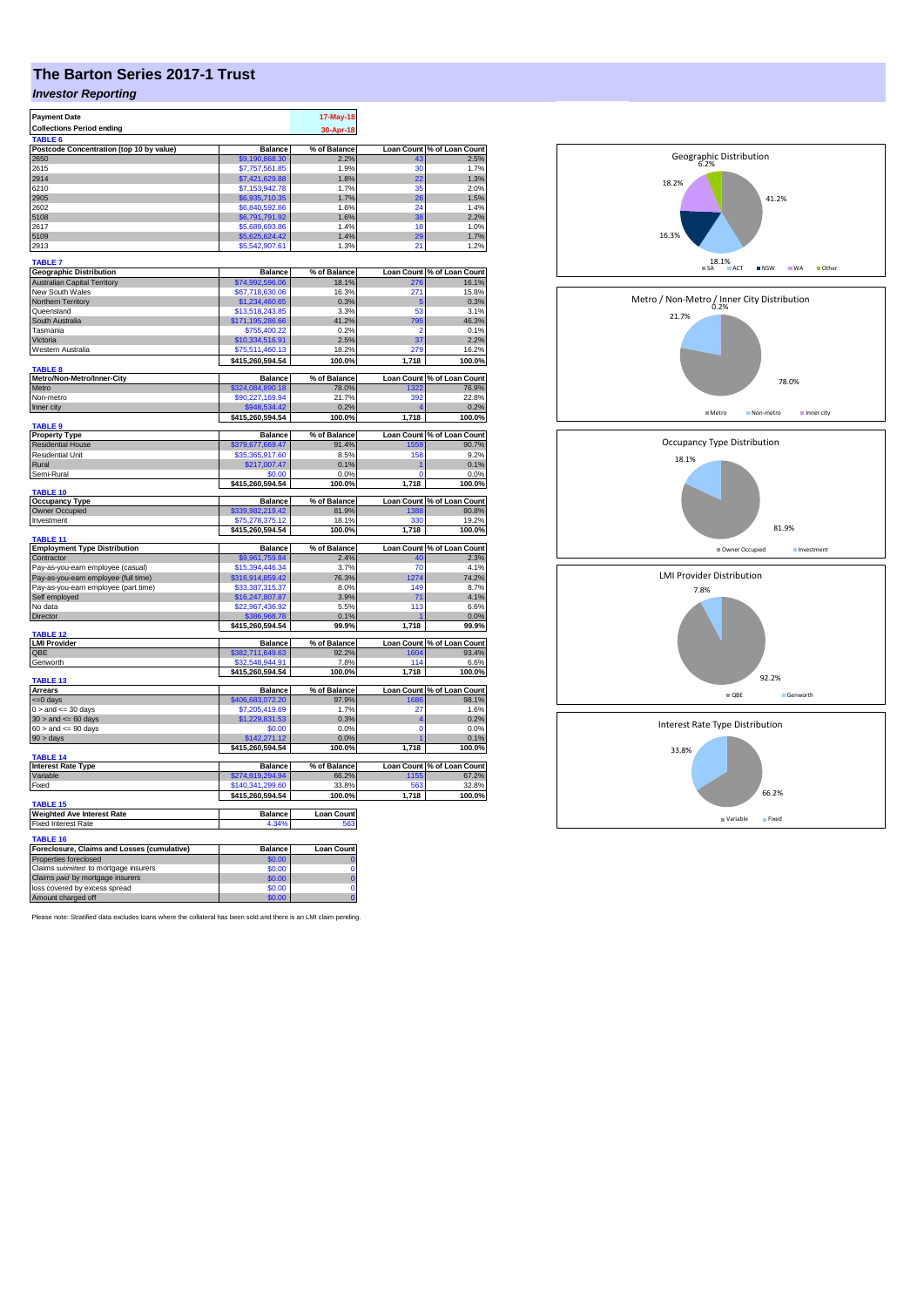## **The Barton Series 2017-1 Trust**

## *Investor Reporting*

| <b>Payment Date</b><br><b>Collections Period ending</b>                      | 17-May-18<br>30-Apr-18              |                      |             |                                    |
|------------------------------------------------------------------------------|-------------------------------------|----------------------|-------------|------------------------------------|
| TABLE 6                                                                      |                                     |                      |             |                                    |
| Postcode Concentration (top 10 by value)<br>2650                             | <b>Balance</b><br>\$9,190,868,30    | % of Balance<br>2.2% | 43          | Loan Count % of Loan Count<br>2.5% |
| 2615                                                                         | \$7,757,561.85                      | 1.9%                 | 30          | 1.7%                               |
| 2914                                                                         | \$7,421,629.88                      | 1.8%                 | 22          | 1.3%                               |
| 6210                                                                         | \$7,153,942.78                      | 1.7%                 | 35          | 2.0%                               |
| 2905                                                                         | \$6,935,710.35                      | 1.7%                 | 26          | 1.5%                               |
| 2602                                                                         | \$6,840,592.66                      | 1.6%                 | 24          | 1.4%                               |
| 5108<br>2617                                                                 | \$6,791,791.92                      | 1.6%<br>14%          | 38<br>18    | 2.2%<br>1.0%                       |
| 5109                                                                         | \$5,689,693.86<br>\$5,625,624.42    | 1.4%                 | 29          | 1.7%                               |
| 2913                                                                         | \$5,542,907.61                      | 1.3%                 | 21          | 1.2%                               |
|                                                                              |                                     |                      |             |                                    |
| TABLE <sub>7</sub>                                                           |                                     |                      |             |                                    |
| <b>Geographic Distribution</b>                                               | <b>Balance</b>                      | % of Balance         |             | Loan Count % of Loan Count         |
| <b>Australian Capital Territory</b>                                          | \$74,992,596.06                     | 18.1%                | 276         | 16.1%                              |
| New South Wales<br>Northern Territory                                        | \$67,718,630.06<br>\$1,234,460.65   | 16.3%<br>0.3%        | 271<br>5    | 15.8%<br>0.3%                      |
| Queensland                                                                   | \$13,518,243.85                     | 3.3%                 | 53          | 3.1%                               |
| South Australia                                                              | \$171,195,286.66                    | 41.2%                | 795         | 46.3%                              |
| Tasmania                                                                     | \$755,400.22                        | 0.2%                 | 2           | 0.1%                               |
| Victoria                                                                     | \$10,334,516.91                     | 2.5%                 | 37          | 2.2%                               |
| Western Australia                                                            | \$75,511,460.13                     | 18.2%                | 279         | 16.2%                              |
|                                                                              | \$415,260,594.54                    | 100.0%               | 1,718       | 100.0%                             |
| <b>TABLE 8</b>                                                               |                                     |                      |             |                                    |
| Metro/Non-Metro/Inner-City                                                   | <b>Balance</b>                      | % of Balance         |             | Loan Count % of Loan Count         |
| Metro                                                                        | \$324,084,890.18                    | 78.0%                | 1322        | 76.9%                              |
| Non-metro                                                                    | \$90,227,169.94<br>\$948,534.42     | 21.7%<br>0.2%        | 392         | 22.8%                              |
| Inner city                                                                   | \$415,260,594.54                    | 100.0%               | 1,718       | 0.2%                               |
| <b>TABLE 9</b>                                                               |                                     |                      |             | 100.0%                             |
| <b>Property Type</b>                                                         | Balance                             | % of Balance         |             | Loan Count % of Loan Count         |
| <b>Residential House</b>                                                     | \$379,677,669.47                    | 91.4%                | 1559        | 90.7%                              |
| <b>Residential Unit</b>                                                      | \$35,365,917.60                     | 8.5%                 | 158         | 9.2%                               |
| Rural                                                                        | \$217,007.47                        | 0.1%                 |             | 0.1%                               |
| Semi-Rural                                                                   | \$0.00                              | 0.0%                 | $\Omega$    | 0.0%                               |
| TABLE 10                                                                     | \$415,260,594.54                    | 100.0%               | 1,718       | 100.0%                             |
| <b>Occupancy Type</b>                                                        | <b>Balance</b>                      | % of Balance         |             | Loan Count % of Loan Count         |
| Owner Occupied                                                               | \$339,982,219.42                    | 81.9%                | 1388        | 80.8%                              |
| Investment                                                                   | \$75,278,375.12                     | 18.1%                | 330         | 19.2%                              |
|                                                                              | \$415,260,594.54                    | 100.0%               | 1,718       | 100.0%                             |
| TABLE 11                                                                     |                                     |                      |             |                                    |
| <b>Employment Type Distribution</b>                                          | Balance                             | % of Balance         |             | Loan Count % of Loan Count         |
| Contractor                                                                   | \$9,961,759.84                      | 2.4%                 | 40          | 2.3%                               |
| Pay-as-you-earn employee (casual)                                            | \$15,394,446,34                     | 3.7%<br>76.3%        | 70<br>1274  | 4.1%<br>74.2%                      |
| Pay-as-you-earn employee (full time)<br>Pay-as-you-earn employee (part time) | \$316,914,859.42<br>\$33,387,315.37 | 8.0%                 | 149         | 8.7%                               |
| Self employed                                                                | \$16,247,807.87                     | 3.9%                 | 71          | 4.1%                               |
| No data                                                                      | \$22,967,436.92                     | 5.5%                 | 113         | 6.6%                               |
| <b>Director</b>                                                              | \$386,968.78                        | 0.1%                 |             | 0.0%                               |
|                                                                              | \$415,260,594.54                    | 99.9%                | 1,718       | 99.9%                              |
| TABLE <sub>12</sub>                                                          |                                     |                      |             |                                    |
| <b>LMI Provider</b>                                                          | <b>Balance</b>                      | % of Balance         |             | Loan Count % of Loan Count         |
| OBE                                                                          | \$382,711,649.63                    | 92.2%                | 1604<br>114 | 93.4%                              |
| Genworth                                                                     | \$32,548,944.91<br>\$415,260,594.54 | 7.8%<br>100.0%       | 1,718       | 6.6%<br>100.0%                     |
| TABLE 13                                                                     |                                     |                      |             |                                    |
| <b>Arrears</b>                                                               | <b>Balance</b>                      | % of Balance         |             | Loan Count % of Loan Count         |
| $= 0$ days                                                                   | \$406,683,072.20                    | 97.9%                | 1686        | 98.1%                              |
| $0 >$ and $\lt = 30$ days                                                    | \$7,205,419.69                      | 1.7%                 | 27          | 1.6%                               |
| $30 >$ and $\leq 60$ days                                                    | \$1,229,831.53                      | 0.3%                 |             | 0.2%                               |
| $60 >$ and $\leq 90$ days                                                    | \$0.00                              | 0.0%                 | Ō           | 0.0%                               |
| $90 > \text{days}$                                                           | \$142,271.12                        | 0.0%                 |             | 0.1%                               |
|                                                                              | \$415,260,594.54                    | 100.0%               | 1,718       | 100.0%                             |
| TABLE 14<br><b>Interest Rate Type</b>                                        | <b>Balance</b>                      | % of Balance         |             | Loan Count % of Loan Count         |
| Variable                                                                     | \$274,919,294.94                    | 66.2%                | 1155        | 67.2%                              |
| Fixed                                                                        | \$140,341,299.60                    | 33.8%                | 563         | 32.8%                              |
|                                                                              | \$415,260,594.54                    | 100.0%               | 1,718       | 100.0%                             |
| <b>TABLE 15</b>                                                              |                                     |                      |             |                                    |
| <b>Weighted Ave Interest Rate</b>                                            | <b>Balance</b>                      | <b>Loan Count</b>    |             |                                    |
| Fixed Interest Rate                                                          | 4.34%                               | 563                  |             |                                    |
| <b>TABLE 16</b>                                                              |                                     |                      |             |                                    |
| Foreclosure, Claims and Losses (cumulative)                                  | <b>Balance</b>                      | Loan Count           |             |                                    |
| Properties foreclosed                                                        | \$0.00                              |                      |             |                                    |
| Claims submitted to mortgage insurers                                        | \$0.00                              | Ō                    |             |                                    |
| Claims paid by mortgage insurers                                             | \$0.00                              | Ō                    |             |                                    |
| loss covered by excess spread                                                | \$0.00                              | Ō                    |             |                                    |
| Amount charged off                                                           | \$0.00                              | ö                    |             |                                    |

Please note: Stratified data excludes loans where the collateral has been sold and there is an LMI claim pending.